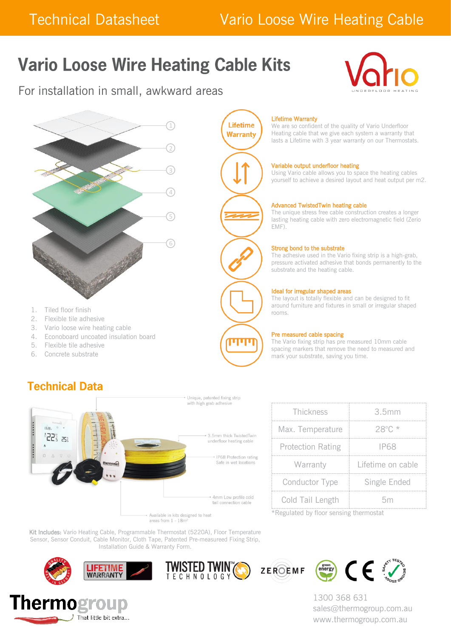## Technical Datasheet Vario Loose Wire Heating Cable

# **Vario Loose Wire Heating Cable Kits**

For installation in small, awkward areas





- 1. Tiled floor finish
- 2. Flexible tile adhesive
- 3. Vario loose wire heating cable
- 4. Econoboard uncoated insulation board
- 5. Flexible tile adhesive
- 6. Concrete substrate

## **Technical Data**

Unique, patented fixing strip with high grab adhesive



| Thickness                | 3.5mm             |  |
|--------------------------|-------------------|--|
| Max. Temperature         | 28°C *            |  |
| <b>Protection Rating</b> | IP68              |  |
| Warranty                 | Lifetime on cable |  |
| Conductor Type           | Single Ended      |  |
| Cold Tail Length         | hm                |  |

\*Regulated by floor sensing thermostat

Kit Includes: Vario Heating Cable, Programmable Thermostat (5220A), Floor Temperature Sensor, Sensor Conduit, Cable Monitor, Cloth Tape, Patented Pre-measureed Fixing Strip, Installation Guide & Warranty Form.











1300 368 631 sales@thermogroup.com.au www.thermogroup.com.au



**Lifetime** 

#### Lifetime Warranty

We are so confident of the quality of Vario Underfloor Heating cable that we give each system a warranty that lasts a Lifetime with 3 year warranty on our Thermostats.

#### Variable output underfloor heating

Using Vario cable allows you to space the heating cables yourself to achieve a desired layout and heat output per m2.

#### Advanced TwistedTwin heating cable

The unique stress free cable construction creates a longer lasting heating cable with zero electromagnetic field (Zerio EMF).

#### Strong bond to the substrate

The adhesive used in the Vario fixing strip is a high-grab, pressure activated adhesive that bonds permanently to the substrate and the heating cable.

#### Ideal for irregular shaped areas

The layout is totally flexible and can be designed to fit around furniture and fixtures in small or irregular shaped rooms.

#### Pre measured cable spacing

The Vario fixing strip has pre measured 10mm cable spacing markers that remove the need to measured and mark your substrate, saving you time.